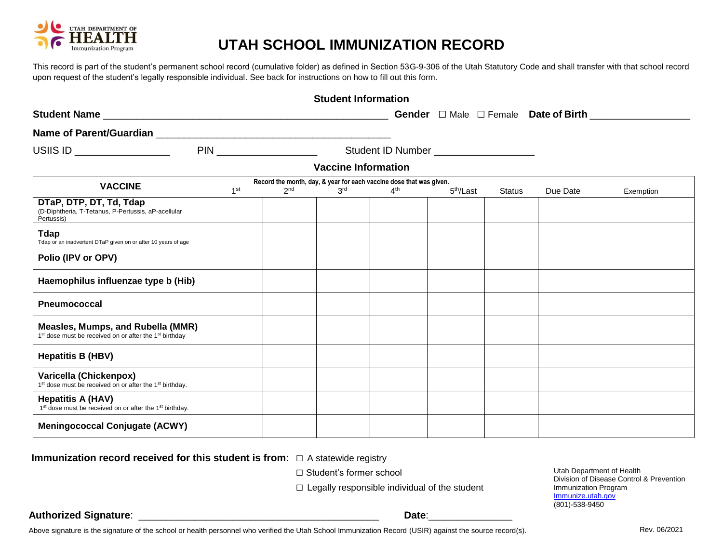

## **UTAH SCHOOL IMMUNIZATION RECORD**

This record is part of the student's permanent school record (cumulative folder) as defined in Section 53G-9-306 of the Utah Statutory Code and shall transfer with that school record upon request of the student's legally responsible individual. See back for instructions on how to fill out this form.

| <b>Student Information</b>                                                                                          |                 |                 |                 |                                          |                       |               |          |                                                              |
|---------------------------------------------------------------------------------------------------------------------|-----------------|-----------------|-----------------|------------------------------------------|-----------------------|---------------|----------|--------------------------------------------------------------|
|                                                                                                                     |                 |                 |                 |                                          |                       |               |          | <b>Gender</b> $\Box$ Male $\Box$ Female <b>Date of Birth</b> |
|                                                                                                                     |                 |                 |                 |                                          |                       |               |          |                                                              |
| USIIS ID ANNOUNCED A CONTROL CONTROL CONTROL CONTROL CONTROL CONTROL CONTROL CONTROL CONTROL CONTROL CONTROL CO     |                 |                 |                 | Student ID Number ______________________ |                       |               |          |                                                              |
| <b>Vaccine Information</b>                                                                                          |                 |                 |                 |                                          |                       |               |          |                                                              |
| Record the month, day, & year for each vaccine dose that was given.                                                 |                 |                 |                 |                                          |                       |               |          |                                                              |
| <b>VACCINE</b>                                                                                                      | 1 <sup>st</sup> | 2 <sub>nd</sub> | 3 <sup>rd</sup> | 4 <sup>th</sup>                          | 5 <sup>th</sup> /Last | <b>Status</b> | Due Date | Exemption                                                    |
| DTaP, DTP, DT, Td, Tdap<br>(D-Diphtheria, T-Tetanus, P-Pertussis, aP-acellular<br>Pertussis)                        |                 |                 |                 |                                          |                       |               |          |                                                              |
| <b>Tdap</b><br>Tdap or an inadvertent DTaP given on or after 10 years of age                                        |                 |                 |                 |                                          |                       |               |          |                                                              |
| Polio (IPV or OPV)                                                                                                  |                 |                 |                 |                                          |                       |               |          |                                                              |
| Haemophilus influenzae type b (Hib)                                                                                 |                 |                 |                 |                                          |                       |               |          |                                                              |
| Pneumococcal                                                                                                        |                 |                 |                 |                                          |                       |               |          |                                                              |
| Measles, Mumps, and Rubella (MMR)<br>1 <sup>st</sup> dose must be received on or after the 1 <sup>st</sup> birthday |                 |                 |                 |                                          |                       |               |          |                                                              |
| <b>Hepatitis B (HBV)</b>                                                                                            |                 |                 |                 |                                          |                       |               |          |                                                              |
| Varicella (Chickenpox)<br>1 <sup>st</sup> dose must be received on or after the 1 <sup>st</sup> birthday.           |                 |                 |                 |                                          |                       |               |          |                                                              |
| <b>Hepatitis A (HAV)</b><br>1 <sup>st</sup> dose must be received on or after the 1 <sup>st</sup> birthday.         |                 |                 |                 |                                          |                       |               |          |                                                              |
| <b>Meningococcal Conjugate (ACWY)</b>                                                                               |                 |                 |                 |                                          |                       |               |          |                                                              |

**Immunization record received for this student is from**:□ A statewide registry

□ Student's former school

 $\square$  Legally responsible individual of the student

Utah Department of Health Division of Disease Control & Prevention Immunization Program Immunize.utah.gov (801)-538-9450

**Authorized Signature**: \_\_\_\_\_\_\_\_\_\_\_\_\_\_\_\_\_\_\_\_\_\_\_\_\_\_\_\_\_\_\_\_\_\_\_\_\_\_\_\_\_\_\_ **Date**:\_\_\_\_\_\_\_\_\_\_\_\_\_\_\_